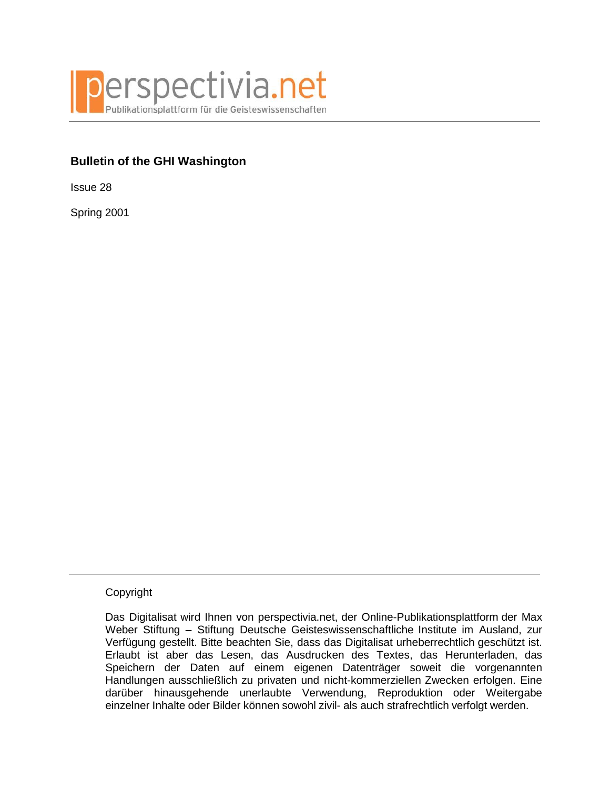

# **Bulletin of the GHI Washington**

Issue 28

Spring 2001

## Copyright

Das Digitalisat wird Ihnen von perspectivia.net, der Online-Publikationsplattform der Max Weber Stiftung – Stiftung Deutsche Geisteswissenschaftliche Institute im Ausland, zur Verfügung gestellt. Bitte beachten Sie, dass das Digitalisat urheberrechtlich geschützt ist. Erlaubt ist aber das Lesen, das Ausdrucken des Textes, das Herunterladen, das Speichern der Daten auf einem eigenen Datenträger soweit die vorgenannten Handlungen ausschließlich zu privaten und nicht-kommerziellen Zwecken erfolgen. Eine darüber hinausgehende unerlaubte Verwendung, Reproduktion oder Weitergabe einzelner Inhalte oder Bilder können sowohl zivil- als auch strafrechtlich verfolgt werden.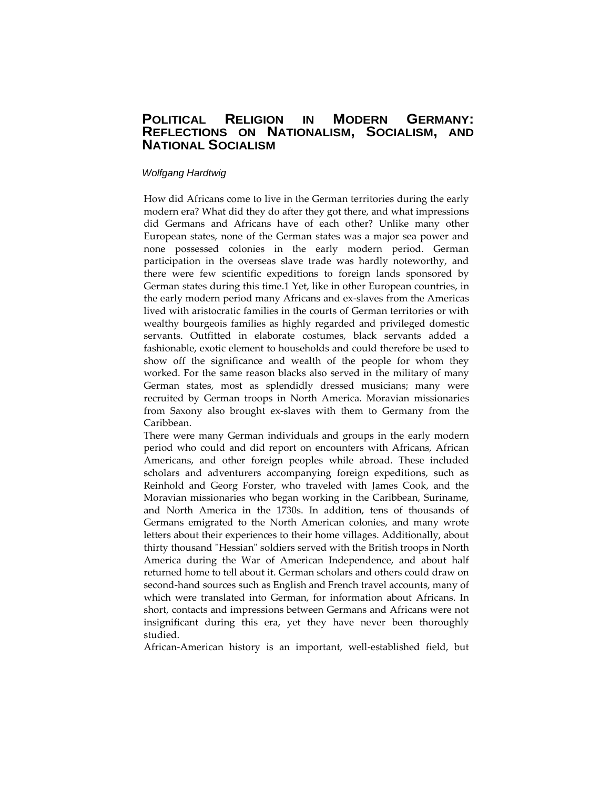### **POLITICAL RELIGION IN MODERN GERMANY: REFLECTIONS ON NATIONALISM, SOCIALISM, AND NATIONAL SOCIALISM**

#### *Wolfgang Hardtwig*

How did Africans come to live in the German territories during the early modern era? What did they do after they got there, and what impressions did Germans and Africans have of each other? Unlike many other European states, none of the German states was a major sea power and none possessed colonies in the early modern period. German participation in the overseas slave trade was hardly noteworthy, and there were few scientific expeditions to foreign lands sponsored by German states during this time.1 Yet, like in other European countries, in the early modern period many Africans and ex-slaves from the Americas lived with aristocratic families in the courts of German territories or with wealthy bourgeois families as highly regarded and privileged domestic servants. Outfitted in elaborate costumes, black servants added a fashionable, exotic element to households and could therefore be used to show off the significance and wealth of the people for whom they worked. For the same reason blacks also served in the military of many German states, most as splendidly dressed musicians; many were recruited by German troops in North America. Moravian missionaries from Saxony also brought ex-slaves with them to Germany from the Caribbean.

There were many German individuals and groups in the early modern period who could and did report on encounters with Africans, African Americans, and other foreign peoples while abroad. These included scholars and adventurers accompanying foreign expeditions, such as Reinhold and Georg Forster, who traveled with James Cook, and the Moravian missionaries who began working in the Caribbean, Suriname, and North America in the 1730s. In addition, tens of thousands of Germans emigrated to the North American colonies, and many wrote letters about their experiences to their home villages. Additionally, about thirty thousand "Hessian" soldiers served with the British troops in North America during the War of American Independence, and about half returned home to tell about it. German scholars and others could draw on second-hand sources such as English and French travel accounts, many of which were translated into German, for information about Africans. In short, contacts and impressions between Germans and Africans were not insignificant during this era, yet they have never been thoroughly studied.

African-American history is an important, well-established field, but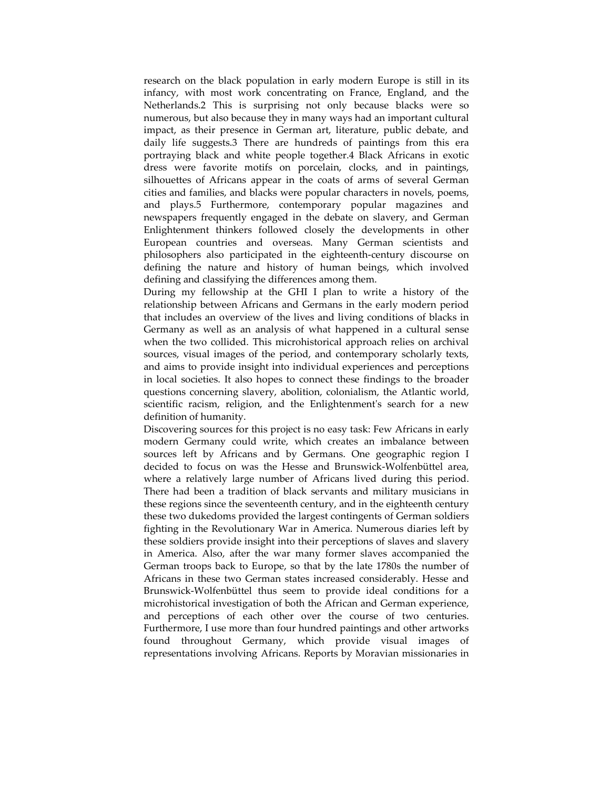research on the black population in early modern Europe is still in its infancy, with most work concentrating on France, England, and the Netherlands.2 This is surprising not only because blacks were so numerous, but also because they in many ways had an important cultural impact, as their presence in German art, literature, public debate, and daily life suggests.3 There are hundreds of paintings from this era portraying black and white people together.4 Black Africans in exotic dress were favorite motifs on porcelain, clocks, and in paintings, silhouettes of Africans appear in the coats of arms of several German cities and families, and blacks were popular characters in novels, poems, and plays.5 Furthermore, contemporary popular magazines and newspapers frequently engaged in the debate on slavery, and German Enlightenment thinkers followed closely the developments in other European countries and overseas. Many German scientists and philosophers also participated in the eighteenth-century discourse on defining the nature and history of human beings, which involved defining and classifying the differences among them.

During my fellowship at the GHI I plan to write a history of the relationship between Africans and Germans in the early modern period that includes an overview of the lives and living conditions of blacks in Germany as well as an analysis of what happened in a cultural sense when the two collided. This microhistorical approach relies on archival sources, visual images of the period, and contemporary scholarly texts, and aims to provide insight into individual experiences and perceptions in local societies. It also hopes to connect these findings to the broader questions concerning slavery, abolition, colonialism, the Atlantic world, scientific racism, religion, and the Enlightenment's search for a new definition of humanity.

Discovering sources for this project is no easy task: Few Africans in early modern Germany could write, which creates an imbalance between sources left by Africans and by Germans. One geographic region I decided to focus on was the Hesse and Brunswick-Wolfenbüttel area, where a relatively large number of Africans lived during this period. There had been a tradition of black servants and military musicians in these regions since the seventeenth century, and in the eighteenth century these two dukedoms provided the largest contingents of German soldiers fighting in the Revolutionary War in America. Numerous diaries left by these soldiers provide insight into their perceptions of slaves and slavery in America. Also, after the war many former slaves accompanied the German troops back to Europe, so that by the late 1780s the number of Africans in these two German states increased considerably. Hesse and Brunswick-Wolfenbüttel thus seem to provide ideal conditions for a microhistorical investigation of both the African and German experience, and perceptions of each other over the course of two centuries. Furthermore, I use more than four hundred paintings and other artworks found throughout Germany, which provide visual images of representations involving Africans. Reports by Moravian missionaries in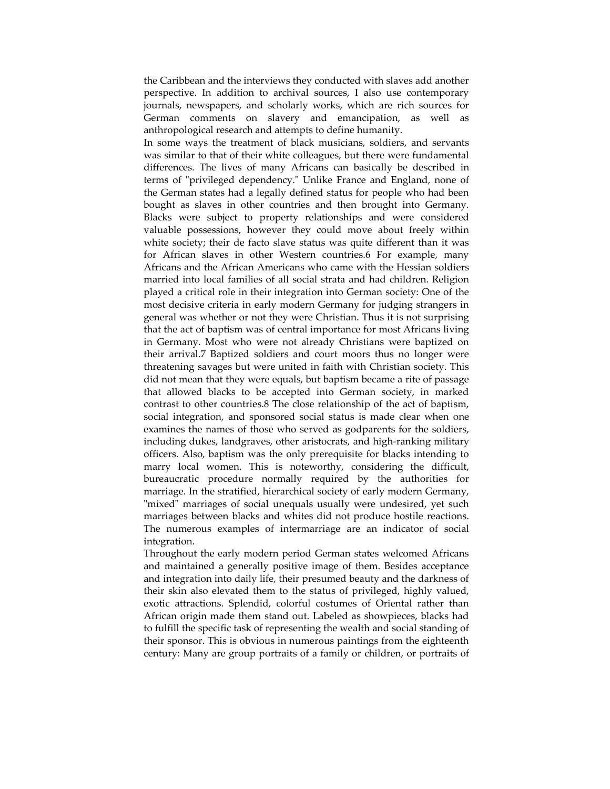the Caribbean and the interviews they conducted with slaves add another perspective. In addition to archival sources, I also use contemporary journals, newspapers, and scholarly works, which are rich sources for German comments on slavery and emancipation, as well as anthropological research and attempts to define humanity.

In some ways the treatment of black musicians, soldiers, and servants was similar to that of their white colleagues, but there were fundamental differences. The lives of many Africans can basically be described in terms of "privileged dependency." Unlike France and England, none of the German states had a legally defined status for people who had been bought as slaves in other countries and then brought into Germany. Blacks were subject to property relationships and were considered valuable possessions, however they could move about freely within white society; their de facto slave status was quite different than it was for African slaves in other Western countries.6 For example, many Africans and the African Americans who came with the Hessian soldiers married into local families of all social strata and had children. Religion played a critical role in their integration into German society: One of the most decisive criteria in early modern Germany for judging strangers in general was whether or not they were Christian. Thus it is not surprising that the act of baptism was of central importance for most Africans living in Germany. Most who were not already Christians were baptized on their arrival.7 Baptized soldiers and court moors thus no longer were threatening savages but were united in faith with Christian society. This did not mean that they were equals, but baptism became a rite of passage that allowed blacks to be accepted into German society, in marked contrast to other countries.8 The close relationship of the act of baptism, social integration, and sponsored social status is made clear when one examines the names of those who served as godparents for the soldiers, including dukes, landgraves, other aristocrats, and high-ranking military officers. Also, baptism was the only prerequisite for blacks intending to marry local women. This is noteworthy, considering the difficult, bureaucratic procedure normally required by the authorities for marriage. In the stratified, hierarchical society of early modern Germany, "mixed" marriages of social unequals usually were undesired, yet such marriages between blacks and whites did not produce hostile reactions. The numerous examples of intermarriage are an indicator of social integration.

Throughout the early modern period German states welcomed Africans and maintained a generally positive image of them. Besides acceptance and integration into daily life, their presumed beauty and the darkness of their skin also elevated them to the status of privileged, highly valued, exotic attractions. Splendid, colorful costumes of Oriental rather than African origin made them stand out. Labeled as showpieces, blacks had to fulfill the specific task of representing the wealth and social standing of their sponsor. This is obvious in numerous paintings from the eighteenth century: Many are group portraits of a family or children, or portraits of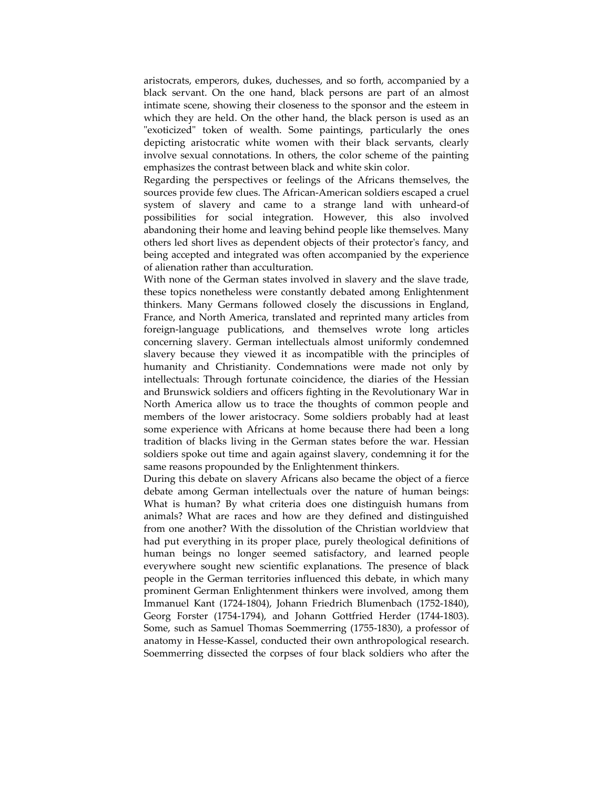aristocrats, emperors, dukes, duchesses, and so forth, accompanied by a black servant. On the one hand, black persons are part of an almost intimate scene, showing their closeness to the sponsor and the esteem in which they are held. On the other hand, the black person is used as an "exoticized" token of wealth. Some paintings, particularly the ones depicting aristocratic white women with their black servants, clearly involve sexual connotations. In others, the color scheme of the painting emphasizes the contrast between black and white skin color.

Regarding the perspectives or feelings of the Africans themselves, the sources provide few clues. The African-American soldiers escaped a cruel system of slavery and came to a strange land with unheard-of possibilities for social integration. However, this also involved abandoning their home and leaving behind people like themselves. Many others led short lives as dependent objects of their protector's fancy, and being accepted and integrated was often accompanied by the experience of alienation rather than acculturation.

With none of the German states involved in slavery and the slave trade, these topics nonetheless were constantly debated among Enlightenment thinkers. Many Germans followed closely the discussions in England, France, and North America, translated and reprinted many articles from foreign-language publications, and themselves wrote long articles concerning slavery. German intellectuals almost uniformly condemned slavery because they viewed it as incompatible with the principles of humanity and Christianity. Condemnations were made not only by intellectuals: Through fortunate coincidence, the diaries of the Hessian and Brunswick soldiers and officers fighting in the Revolutionary War in North America allow us to trace the thoughts of common people and members of the lower aristocracy. Some soldiers probably had at least some experience with Africans at home because there had been a long tradition of blacks living in the German states before the war. Hessian soldiers spoke out time and again against slavery, condemning it for the same reasons propounded by the Enlightenment thinkers.

During this debate on slavery Africans also became the object of a fierce debate among German intellectuals over the nature of human beings: What is human? By what criteria does one distinguish humans from animals? What are races and how are they defined and distinguished from one another? With the dissolution of the Christian worldview that had put everything in its proper place, purely theological definitions of human beings no longer seemed satisfactory, and learned people everywhere sought new scientific explanations. The presence of black people in the German territories influenced this debate, in which many prominent German Enlightenment thinkers were involved, among them Immanuel Kant (1724-1804), Johann Friedrich Blumenbach (1752-1840), Georg Forster (1754-1794), and Johann Gottfried Herder (1744-1803). Some, such as Samuel Thomas Soemmerring (1755-1830), a professor of anatomy in Hesse-Kassel, conducted their own anthropological research. Soemmerring dissected the corpses of four black soldiers who after the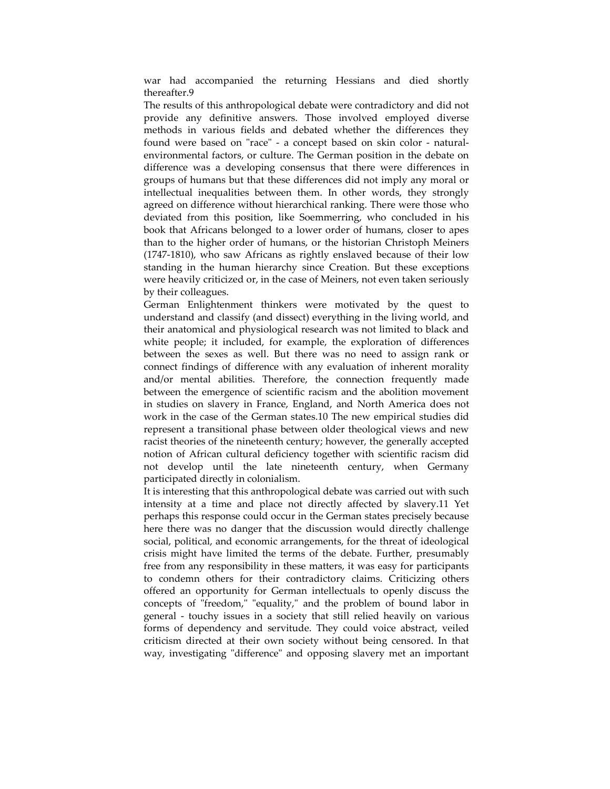war had accompanied the returning Hessians and died shortly thereafter.9

The results of this anthropological debate were contradictory and did not provide any definitive answers. Those involved employed diverse methods in various fields and debated whether the differences they found were based on "race" - a concept based on skin color - naturalenvironmental factors, or culture. The German position in the debate on difference was a developing consensus that there were differences in groups of humans but that these differences did not imply any moral or intellectual inequalities between them. In other words, they strongly agreed on difference without hierarchical ranking. There were those who deviated from this position, like Soemmerring, who concluded in his book that Africans belonged to a lower order of humans, closer to apes than to the higher order of humans, or the historian Christoph Meiners (1747-1810), who saw Africans as rightly enslaved because of their low standing in the human hierarchy since Creation. But these exceptions were heavily criticized or, in the case of Meiners, not even taken seriously by their colleagues.

German Enlightenment thinkers were motivated by the quest to understand and classify (and dissect) everything in the living world, and their anatomical and physiological research was not limited to black and white people; it included, for example, the exploration of differences between the sexes as well. But there was no need to assign rank or connect findings of difference with any evaluation of inherent morality and/or mental abilities. Therefore, the connection frequently made between the emergence of scientific racism and the abolition movement in studies on slavery in France, England, and North America does not work in the case of the German states.10 The new empirical studies did represent a transitional phase between older theological views and new racist theories of the nineteenth century; however, the generally accepted notion of African cultural deficiency together with scientific racism did not develop until the late nineteenth century, when Germany participated directly in colonialism.

It is interesting that this anthropological debate was carried out with such intensity at a time and place not directly affected by slavery.11 Yet perhaps this response could occur in the German states precisely because here there was no danger that the discussion would directly challenge social, political, and economic arrangements, for the threat of ideological crisis might have limited the terms of the debate. Further, presumably free from any responsibility in these matters, it was easy for participants to condemn others for their contradictory claims. Criticizing others offered an opportunity for German intellectuals to openly discuss the concepts of "freedom," "equality," and the problem of bound labor in general - touchy issues in a society that still relied heavily on various forms of dependency and servitude. They could voice abstract, veiled criticism directed at their own society without being censored. In that way, investigating "difference" and opposing slavery met an important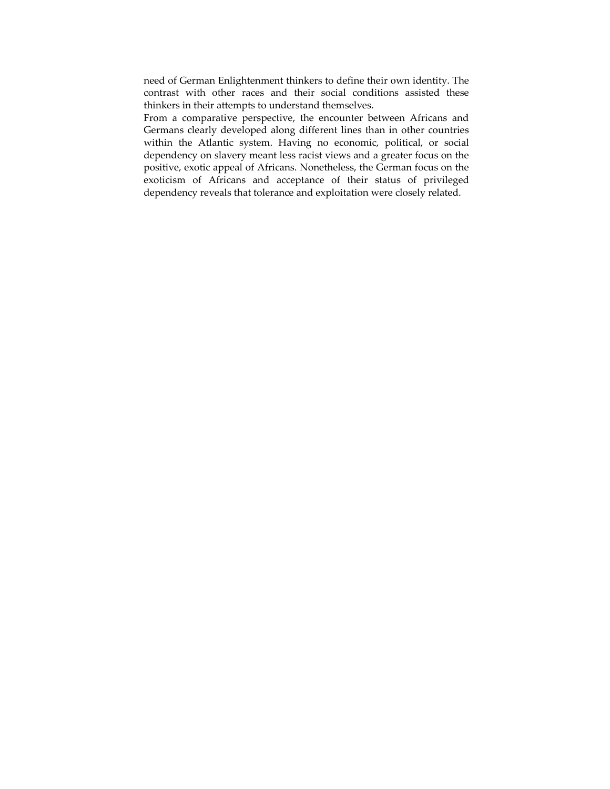need of German Enlightenment thinkers to define their own identity. The contrast with other races and their social conditions assisted these thinkers in their attempts to understand themselves.

From a comparative perspective, the encounter between Africans and Germans clearly developed along different lines than in other countries within the Atlantic system. Having no economic, political, or social dependency on slavery meant less racist views and a greater focus on the positive, exotic appeal of Africans. Nonetheless, the German focus on the exoticism of Africans and acceptance of their status of privileged dependency reveals that tolerance and exploitation were closely related.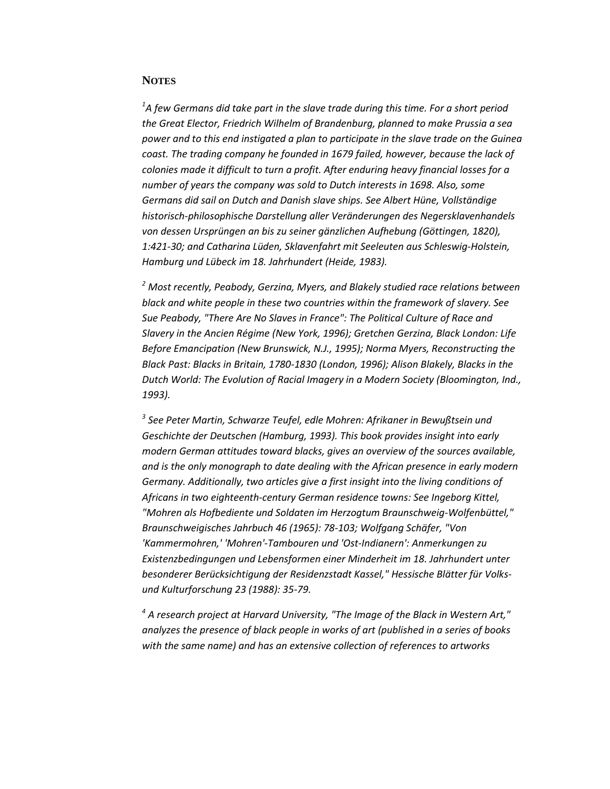#### **NOTES**

*1 A few Germans did take part in the slave trade during this time. For a short period the Great Elector, Friedrich Wilhelm of Brandenburg, planned to make Prussia a sea power and to this end instigated a plan to participate in the slave trade on the Guinea coast. The trading company he founded in 1679 failed, however, because the lack of colonies made it difficult to turn a profit. After enduring heavy financial losses for a number of years the company was sold to Dutch interests in 1698. Also, some Germans did sail on Dutch and Danish slave ships. See Albert Hüne, Vollständige historisch-philosophische Darstellung aller Veränderungen des Negersklavenhandels von dessen Ursprüngen an bis zu seiner gänzlichen Aufhebung (Göttingen, 1820), 1:421-30; and Catharina Lüden, Sklavenfahrt mit Seeleuten aus Schleswig-Holstein, Hamburg und Lübeck im 18. Jahrhundert (Heide, 1983).* 

*<sup>2</sup> Most recently, Peabody, Gerzina, Myers, and Blakely studied race relations between black and white people in these two countries within the framework of slavery. See Sue Peabody, "There Are No Slaves in France": The Political Culture of Race and Slavery in the Ancien Régime (New York, 1996); Gretchen Gerzina, Black London: Life Before Emancipation (New Brunswick, N.J., 1995); Norma Myers, Reconstructing the Black Past: Blacks in Britain, 1780-1830 (London, 1996); Alison Blakely, Blacks in the Dutch World: The Evolution of Racial Imagery in a Modern Society (Bloomington, Ind., 1993).* 

*<sup>3</sup> See Peter Martin, Schwarze Teufel, edle Mohren: Afrikaner in Bewußtsein und Geschichte der Deutschen (Hamburg, 1993). This book provides insight into early modern German attitudes toward blacks, gives an overview of the sources available, and is the only monograph to date dealing with the African presence in early modern Germany. Additionally, two articles give a first insight into the living conditions of Africans in two eighteenth-century German residence towns: See Ingeborg Kittel, "Mohren als Hofbediente und Soldaten im Herzogtum Braunschweig-Wolfenbüttel," Braunschweigisches Jahrbuch 46 (1965): 78-103; Wolfgang Schäfer, "Von 'Kammermohren,' 'Mohren'-Tambouren und 'Ost-Indianern': Anmerkungen zu Existenzbedingungen und Lebensformen einer Minderheit im 18. Jahrhundert unter besonderer Berücksichtigung der Residenzstadt Kassel," Hessische Blätter für Volksund Kulturforschung 23 (1988): 35-79.* 

*<sup>4</sup> A research project at Harvard University, "The Image of the Black in Western Art," analyzes the presence of black people in works of art (published in a series of books with the same name) and has an extensive collection of references to artworks*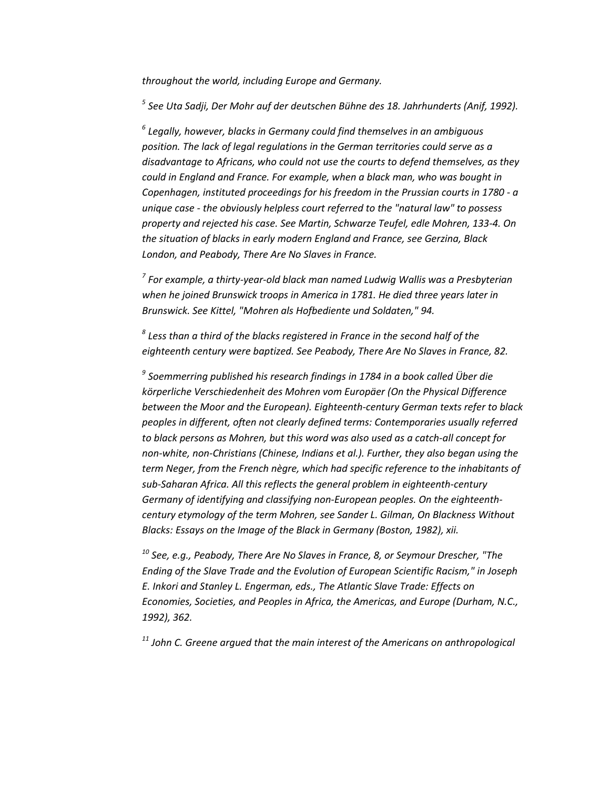*throughout the world, including Europe and Germany.* 

*<sup>5</sup> See Uta Sadji, Der Mohr auf der deutschen Bühne des 18. Jahrhunderts (Anif, 1992).* 

*<sup>6</sup> Legally, however, blacks in Germany could find themselves in an ambiguous position. The lack of legal regulations in the German territories could serve as a disadvantage to Africans, who could not use the courts to defend themselves, as they could in England and France. For example, when a black man, who was bought in Copenhagen, instituted proceedings for his freedom in the Prussian courts in 1780 - a unique case - the obviously helpless court referred to the "natural law" to possess property and rejected his case. See Martin, Schwarze Teufel, edle Mohren, 133-4. On the situation of blacks in early modern England and France, see Gerzina, Black London, and Peabody, There Are No Slaves in France.* 

*<sup>7</sup> For example, a thirty-year-old black man named Ludwig Wallis was a Presbyterian when he joined Brunswick troops in America in 1781. He died three years later in Brunswick. See Kittel, "Mohren als Hofbediente und Soldaten," 94.* 

*<sup>8</sup> Less than a third of the blacks registered in France in the second half of the eighteenth century were baptized. See Peabody, There Are No Slaves in France, 82.* 

*<sup>9</sup> Soemmerring published his research findings in 1784 in a book called Über die körperliche Verschiedenheit des Mohren vom Europäer (On the Physical Difference between the Moor and the European). Eighteenth-century German texts refer to black peoples in different, often not clearly defined terms: Contemporaries usually referred to black persons as Mohren, but this word was also used as a catch-all concept for non-white, non-Christians (Chinese, Indians et al.). Further, they also began using the term Neger, from the French nègre, which had specific reference to the inhabitants of sub-Saharan Africa. All this reflects the general problem in eighteenth-century Germany of identifying and classifying non-European peoples. On the eighteenthcentury etymology of the term Mohren, see Sander L. Gilman, On Blackness Without Blacks: Essays on the Image of the Black in Germany (Boston, 1982), xii.* 

*<sup>10</sup> See, e.g., Peabody, There Are No Slaves in France, 8, or Seymour Drescher, "The Ending of the Slave Trade and the Evolution of European Scientific Racism," in Joseph E. Inkori and Stanley L. Engerman, eds., The Atlantic Slave Trade: Effects on Economies, Societies, and Peoples in Africa, the Americas, and Europe (Durham, N.C., 1992), 362.* 

*<sup>11</sup> John C. Greene argued that the main interest of the Americans on anthropological*